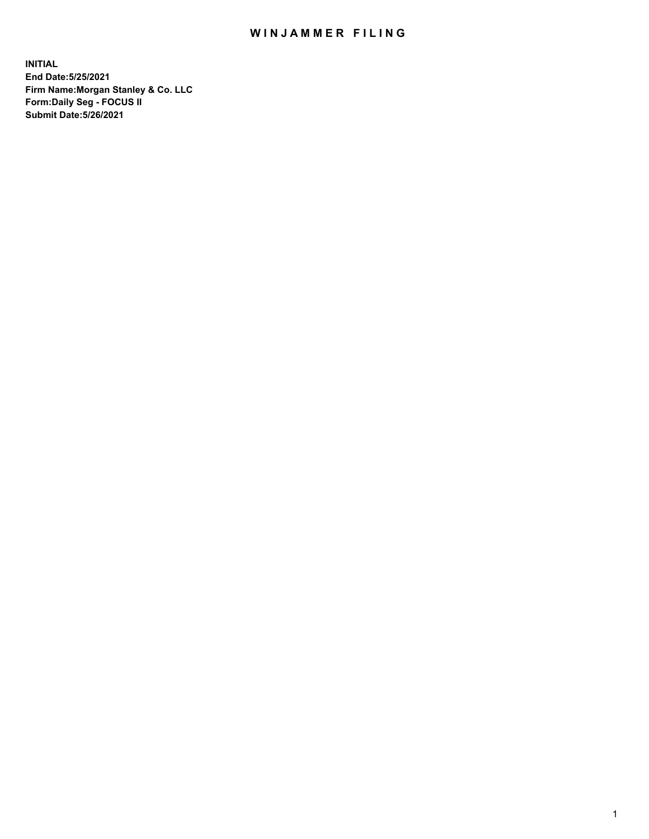## WIN JAMMER FILING

**INITIAL End Date:5/25/2021 Firm Name:Morgan Stanley & Co. LLC Form:Daily Seg - FOCUS II Submit Date:5/26/2021**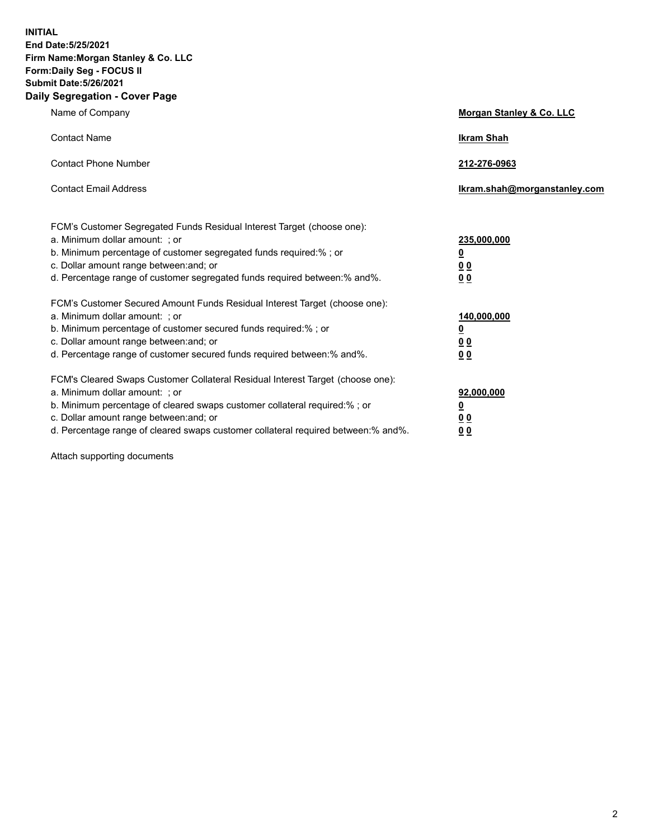**INITIAL End Date:5/25/2021 Firm Name:Morgan Stanley & Co. LLC Form:Daily Seg - FOCUS II Submit Date:5/26/2021 Daily Segregation - Cover Page**

| Name of Company                                                                                                                                                                                                                                                                                                                | <b>Morgan Stanley &amp; Co. LLC</b>                    |
|--------------------------------------------------------------------------------------------------------------------------------------------------------------------------------------------------------------------------------------------------------------------------------------------------------------------------------|--------------------------------------------------------|
| <b>Contact Name</b>                                                                                                                                                                                                                                                                                                            | <b>Ikram Shah</b>                                      |
| <b>Contact Phone Number</b>                                                                                                                                                                                                                                                                                                    | 212-276-0963                                           |
| <b>Contact Email Address</b>                                                                                                                                                                                                                                                                                                   | Ikram.shah@morganstanley.com                           |
| FCM's Customer Segregated Funds Residual Interest Target (choose one):<br>a. Minimum dollar amount: : or<br>b. Minimum percentage of customer segregated funds required:%; or<br>c. Dollar amount range between: and; or<br>d. Percentage range of customer segregated funds required between:% and%.                          | 235,000,000<br><u>0</u><br><u>00</u><br><u>00</u>      |
| FCM's Customer Secured Amount Funds Residual Interest Target (choose one):<br>a. Minimum dollar amount: ; or<br>b. Minimum percentage of customer secured funds required:%; or<br>c. Dollar amount range between: and; or<br>d. Percentage range of customer secured funds required between:% and%.                            | 140,000,000<br><u>0</u><br><u>00</u><br>0 <sub>0</sub> |
| FCM's Cleared Swaps Customer Collateral Residual Interest Target (choose one):<br>a. Minimum dollar amount: ; or<br>b. Minimum percentage of cleared swaps customer collateral required:% ; or<br>c. Dollar amount range between: and; or<br>d. Percentage range of cleared swaps customer collateral required between:% and%. | 92,000,000<br><u>0</u><br><u>00</u><br>00              |

Attach supporting documents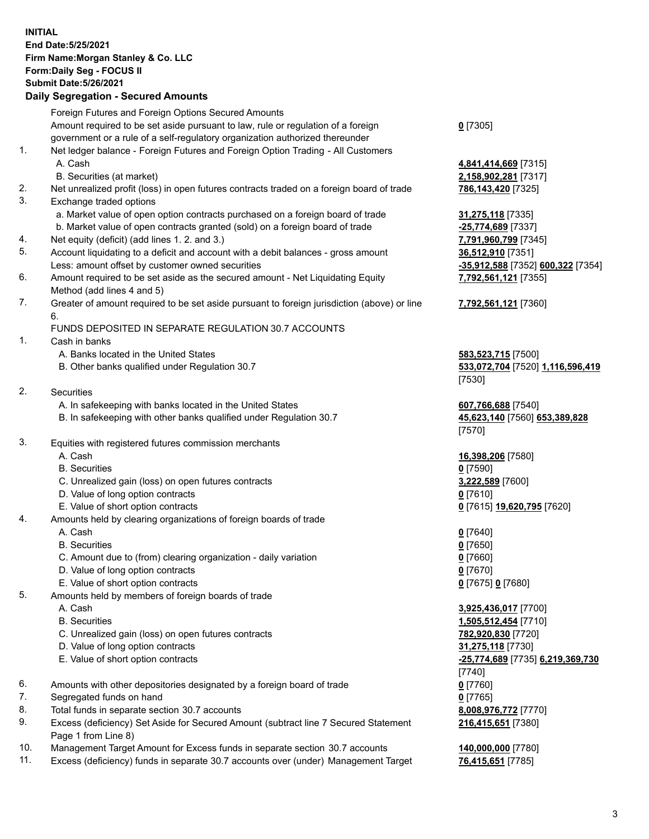## **INITIAL End Date:5/25/2021 Firm Name:Morgan Stanley & Co. LLC Form:Daily Seg - FOCUS II Submit Date:5/26/2021**

## **Daily Segregation - Secured Amounts**

|    | Foreign Futures and Foreign Options Secured Amounts                                                        |                                   |
|----|------------------------------------------------------------------------------------------------------------|-----------------------------------|
|    | Amount required to be set aside pursuant to law, rule or regulation of a foreign                           | $0$ [7305]                        |
|    | government or a rule of a self-regulatory organization authorized thereunder                               |                                   |
| 1. | Net ledger balance - Foreign Futures and Foreign Option Trading - All Customers                            |                                   |
|    | A. Cash                                                                                                    | 4,841,414,669 [7315]              |
|    | B. Securities (at market)                                                                                  | 2,158,902,281 [7317]              |
| 2. | Net unrealized profit (loss) in open futures contracts traded on a foreign board of trade                  | 786,143,420 [7325]                |
| 3. | Exchange traded options                                                                                    |                                   |
|    | a. Market value of open option contracts purchased on a foreign board of trade                             | 31,275,118 [7335]                 |
|    | b. Market value of open contracts granted (sold) on a foreign board of trade                               | -25,774,689 [7337]                |
| 4. | Net equity (deficit) (add lines 1. 2. and 3.)                                                              | 7,791,960,799 [7345]              |
| 5. | Account liquidating to a deficit and account with a debit balances - gross amount                          | 36,512,910 [7351]                 |
|    | Less: amount offset by customer owned securities                                                           | -35,912,588 [7352] 600,322 [7354] |
| 6. | Amount required to be set aside as the secured amount - Net Liquidating Equity                             | 7,792,561,121 [7355]              |
|    | Method (add lines 4 and 5)                                                                                 |                                   |
| 7. | Greater of amount required to be set aside pursuant to foreign jurisdiction (above) or line<br>6.          | 7,792,561,121 [7360]              |
|    | FUNDS DEPOSITED IN SEPARATE REGULATION 30.7 ACCOUNTS                                                       |                                   |
| 1. | Cash in banks                                                                                              |                                   |
|    | A. Banks located in the United States                                                                      | 583,523,715 [7500]                |
|    | B. Other banks qualified under Regulation 30.7                                                             | 533,072,704 [7520] 1,116,596,419  |
|    |                                                                                                            | [7530]                            |
| 2. | Securities                                                                                                 |                                   |
|    | A. In safekeeping with banks located in the United States                                                  | 607,766,688 [7540]                |
|    | B. In safekeeping with other banks qualified under Regulation 30.7                                         | 45,623,140 [7560] 653,389,828     |
|    |                                                                                                            | [7570]                            |
| 3. | Equities with registered futures commission merchants                                                      |                                   |
|    | A. Cash                                                                                                    | 16,398,206 [7580]                 |
|    | <b>B.</b> Securities                                                                                       | $0$ [7590]                        |
|    | C. Unrealized gain (loss) on open futures contracts                                                        | 3,222,589 [7600]                  |
|    | D. Value of long option contracts                                                                          | $0$ [7610]                        |
|    | E. Value of short option contracts                                                                         | 0 [7615] 19,620,795 [7620]        |
| 4. | Amounts held by clearing organizations of foreign boards of trade                                          |                                   |
|    | A. Cash                                                                                                    | $0$ [7640]                        |
|    | <b>B.</b> Securities                                                                                       | $0$ [7650]                        |
|    | C. Amount due to (from) clearing organization - daily variation                                            | $0$ [7660]                        |
|    | D. Value of long option contracts                                                                          | $0$ [7670]                        |
|    | E. Value of short option contracts                                                                         | 0 [7675] 0 [7680]                 |
| 5. | Amounts held by members of foreign boards of trade                                                         |                                   |
|    | A. Cash                                                                                                    | 3,925,436,017 [7700]              |
|    | <b>B.</b> Securities                                                                                       | 1,505,512,454 [7710]              |
|    | C. Unrealized gain (loss) on open futures contracts                                                        | 782,920,830 [7720]                |
|    | D. Value of long option contracts                                                                          | 31,275,118 [7730]                 |
|    | E. Value of short option contracts                                                                         | -25,774,689 [7735] 6,219,369,730  |
|    |                                                                                                            | $[7740]$                          |
| 6. | Amounts with other depositories designated by a foreign board of trade                                     | $0$ [7760]                        |
| 7. | Segregated funds on hand                                                                                   | $0$ [7765]                        |
| 8. | Total funds in separate section 30.7 accounts                                                              | 8,008,976,772 [7770]              |
| 9. | Excess (deficiency) Set Aside for Secured Amount (subtract line 7 Secured Statement<br>Page 1 from Line 8) | 216,415,651 [7380]                |

- 10. Management Target Amount for Excess funds in separate section 30.7 accounts **140,000,000** [7780]
- 11. Excess (deficiency) funds in separate 30.7 accounts over (under) Management Target **76,415,651** [7785]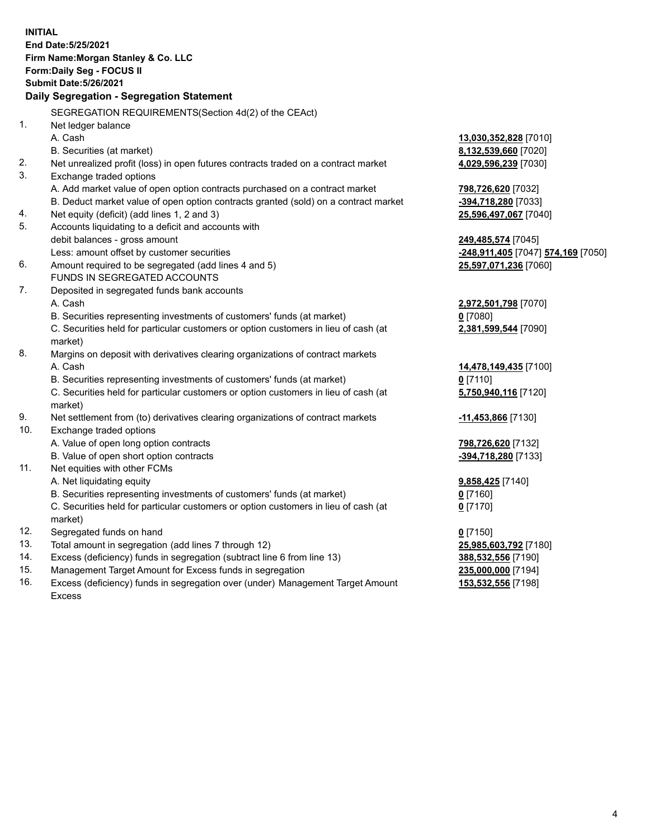**INITIAL End Date:5/25/2021 Firm Name:Morgan Stanley & Co. LLC Form:Daily Seg - FOCUS II Submit Date:5/26/2021 Daily Segregation - Segregation Statement** SEGREGATION REQUIREMENTS(Section 4d(2) of the CEAct) 1. Net ledger balance A. Cash **13,030,352,828** [7010] B. Securities (at market) **8,132,539,660** [7020] 2. Net unrealized profit (loss) in open futures contracts traded on a contract market **4,029,596,239** [7030] 3. Exchange traded options A. Add market value of open option contracts purchased on a contract market **798,726,620** [7032] B. Deduct market value of open option contracts granted (sold) on a contract market **-394,718,280** [7033] 4. Net equity (deficit) (add lines 1, 2 and 3) **25,596,497,067** [7040] 5. Accounts liquidating to a deficit and accounts with debit balances - gross amount **249,485,574** [7045] Less: amount offset by customer securities **-248,911,405** [7047] **574,169** [7050] 6. Amount required to be segregated (add lines 4 and 5) **25,597,071,236** [7060] FUNDS IN SEGREGATED ACCOUNTS 7. Deposited in segregated funds bank accounts A. Cash **2,972,501,798** [7070] B. Securities representing investments of customers' funds (at market) **0** [7080] C. Securities held for particular customers or option customers in lieu of cash (at market) **2,381,599,544** [7090] 8. Margins on deposit with derivatives clearing organizations of contract markets A. Cash **14,478,149,435** [7100] B. Securities representing investments of customers' funds (at market) **0** [7110] C. Securities held for particular customers or option customers in lieu of cash (at market) **5,750,940,116** [7120] 9. Net settlement from (to) derivatives clearing organizations of contract markets **-11,453,866** [7130] 10. Exchange traded options A. Value of open long option contracts **798,726,620** [7132] B. Value of open short option contracts **-394,718,280** [7133] 11. Net equities with other FCMs A. Net liquidating equity **9,858,425** [7140] B. Securities representing investments of customers' funds (at market) **0** [7160] C. Securities held for particular customers or option customers in lieu of cash (at market) **0** [7170] 12. Segregated funds on hand **0** [7150] 13. Total amount in segregation (add lines 7 through 12) **25,985,603,792** [7180] 14. Excess (deficiency) funds in segregation (subtract line 6 from line 13) **388,532,556** [7190] 15. Management Target Amount for Excess funds in segregation **235,000,000** [7194]

16. Excess (deficiency) funds in segregation over (under) Management Target Amount Excess

**153,532,556** [7198]